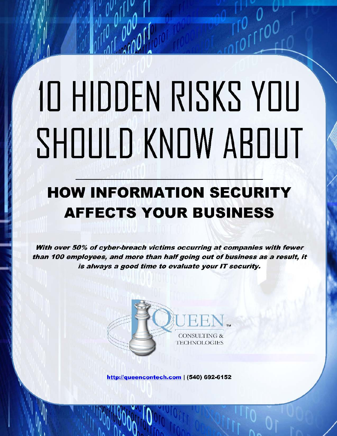# 10 HIDDEN RISKS YOU SHOULD KNOW ABOUT

 $\frac{1}{2}$ 

 $0.00000000$ 

# **HOW INFORMATION SECURITY AFFECTS YOUR BUSINESS**

With over 50% of cyber-breach victims occurring at companies with fewer than 100 employees, and more than half going out of business as a result. it is always a good time to evaluate your IT security.



http://queencontech.com | (540) 692-6152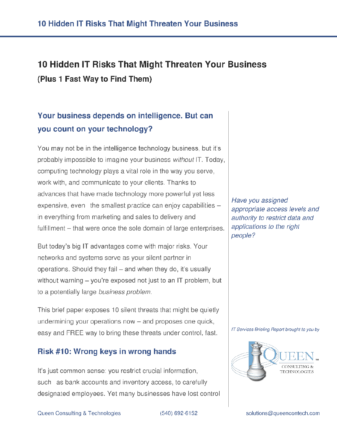# 10 Hidden IT Risks That Might Threaten Your Business (Plus 1 Fast Way to Find Them)

## Your business depends on intelligence. But can you count on your technology?

You may not be in the intelligence technology business, but it's probably impossible to imagine your business without IT. Today, computing technology plays a vital role in the way you serve, work with, and communicate to your clients. Thanks to advances that have made technology more powerful yet less expensive, even the smallest practice can enjoy capabilities in everything from marketing and sales to delivery and fulfillment – that were once the sole domain of large enterprises.

But today's big IT advantages come with major risks. Your networks and systems serve as your silent partner in operations. Should they fail – and when they do, it's usually without warning – you're exposed not just to an IT problem, but to a potentially large business problem.

This brief paper exposes 10 silent threats that might be quietly undermining your operations now - and proposes one quick, easy and FREE way to bring these threats under control, fast.

#### Risk #10: Wrong keys in wrong hands

It's just common sense: you restrict crucial information, such as bank accounts and inventory access, to carefully designated employees. Yet many businesses have lost control Have you assigned appropriate access levels and authority to restrict data and applications to the right people?

IT Services Briefing Report brought to you by

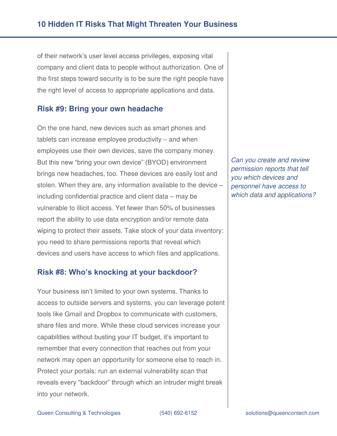of their network's user level access privileges, exposing vital company and client data to people without authorization. One of the first steps toward security is to be sure the right people have the right level of access to appropriate applications and data.

#### **Risk #9: Bring your own headache**

On the one hand, new devices such as smart phones and tablets can increase employee productivity – and when employees use their own devices, save the company money. But this new "bring your own device" (BYOD) environment brings new headaches, too. These devices are easily lost and stolen. When they are, any information available to the device – including confidential practice and client data – may be vulnerable to illicit access. Yet fewer than 50% of businesses report the ability to use data encryption and/or remote data wiping to protect their assets. Take stock of your data inventory: you need to share permissions reports that reveal which devices and users have access to which files and applications.

#### **Risk #8: Who's knocking at your backdoor?**

Your business isn't limited to your own systems. Thanks to access to outside servers and systems, you can leverage potent tools like Gmail and Dropbox to communicate with customers, share files and more. While these cloud services increase your capabilities without busting your IT budget, it's important to remember that every connection that reaches out from your network may open an opportunity for someone else to reach in. Protect your portals: run an external vulnerability scan that reveals every "backdoor" through which an intruder might break into your network.

*Can you create and review permission reports that tell you which devices and personnel have access to which data and applications?*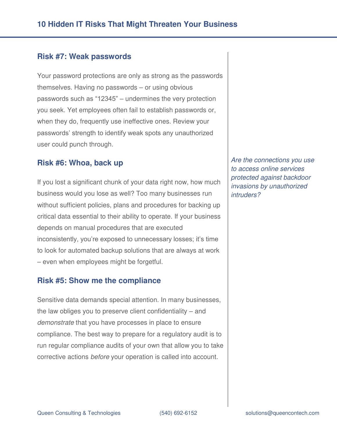#### **Risk #7: Weak passwords**

Your password protections are only as strong as the passwords themselves. Having no passwords – or using obvious passwords such as "12345" – undermines the very protection you seek. Yet employees often fail to establish passwords or, when they do, frequently use ineffective ones. Review your passwords' strength to identify weak spots any unauthorized user could punch through.

#### **Risk #6: Whoa, back up**

If you lost a significant chunk of your data right now, how much business would you lose as well? Too many businesses run without sufficient policies, plans and procedures for backing up critical data essential to their ability to operate. If your business depends on manual procedures that are executed inconsistently, you're exposed to unnecessary losses; it's time to look for automated backup solutions that are always at work – even when employees might be forgetful.

#### **Risk #5: Show me the compliance**

Sensitive data demands special attention. In many businesses, the law obliges you to preserve client confidentiality – and *demonstrate* that you have processes in place to ensure compliance. The best way to prepare for a regulatory audit is to run regular compliance audits of your own that allow you to take corrective actions *before* your operation is called into account.

*Are the connections you use to access online services protected against backdoor invasions by unauthorized intruders?*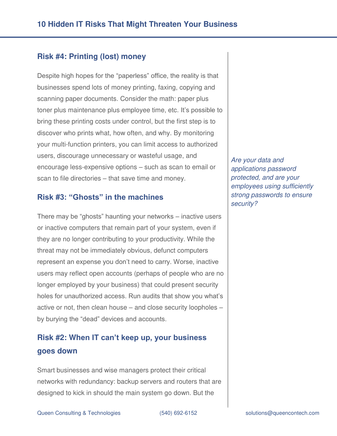#### **Risk #4: Printing (lost) money**

Despite high hopes for the "paperless" office, the reality is that businesses spend lots of money printing, faxing, copying and scanning paper documents. Consider the math: paper plus toner plus maintenance plus employee time, etc. It's possible to bring these printing costs under control, but the first step is to discover who prints what, how often, and why. By monitoring your multi-function printers, you can limit access to authorized users, discourage unnecessary or wasteful usage, and encourage less-expensive options – such as scan to email or scan to file directories – that save time and money.

#### **Risk #3: "Ghosts" in the machines**

There may be "ghosts" haunting your networks – inactive users or inactive computers that remain part of your system, even if they are no longer contributing to your productivity. While the threat may not be immediately obvious, defunct computers represent an expense you don't need to carry. Worse, inactive users may reflect open accounts (perhaps of people who are no longer employed by your business) that could present security holes for unauthorized access. Run audits that show you what's active or not, then clean house – and close security loopholes – by burying the "dead" devices and accounts.

### **Risk #2: When IT can't keep up, your business goes down**

Smart businesses and wise managers protect their critical networks with redundancy: backup servers and routers that are designed to kick in should the main system go down. But the

*Are your data and applications password protected, and are your employees using sufficiently strong passwords to ensure security?*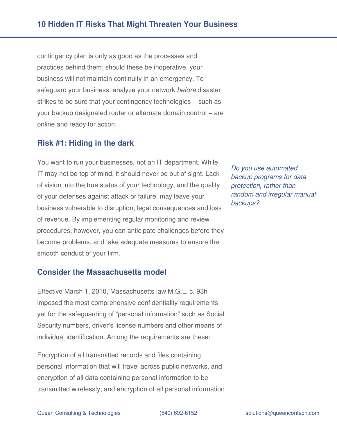contingency plan is only as good as the processes and practices behind them; should these be inoperative, your business will not maintain continuity in an emergency. To safeguard your business, analyze your network *before* disaster strikes to be sure that your contingency technologies – such as your backup designated router or alternate domain control – are online and ready for action.

#### **Risk #1: Hiding in the dark**

You want to run your businesses, not an IT department. While IT may not be top of mind, it should never be out of sight. Lack of vision into the true status of your technology, and the quality of your defenses against attack or failure, may leave your business vulnerable to disruption, legal consequences and loss of revenue. By implementing regular monitoring and review procedures, however, you can anticipate challenges before they become problems, and take adequate measures to ensure the smooth conduct of your firm.

#### **Consider the Massachusetts model**

Effective March 1, 2010, Massachusetts law M.G.L. c. 93h imposed the most comprehensive confidentiality requirements yet for the safeguarding of "personal information" such as Social Security numbers, driver's license numbers and other means of individual identification. Among the requirements are these:

Encryption of all transmitted records and files containing personal information that will travel across public networks, and encryption of all data containing personal information to be transmitted wirelessly; and encryption of all personal information

*Do you use automated backup programs for data protection, rather than random and irregular manual backups?*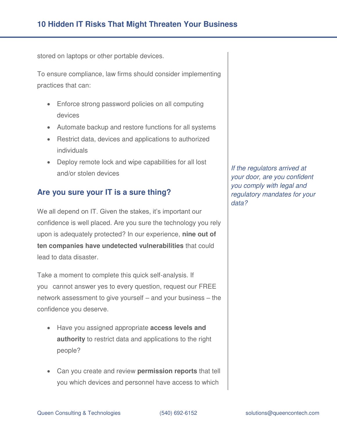stored on laptops or other portable devices.

To ensure compliance, law firms should consider implementing practices that can:

- Enforce strong password policies on all computing devices
- Automate backup and restore functions for all systems
- Restrict data, devices and applications to authorized individuals
- Deploy remote lock and wipe capabilities for all lost and/or stolen devices

#### **Are you sure your IT is a sure thing?**

We all depend on IT. Given the stakes, it's important our confidence is well placed. Are you sure the technology you rely upon is adequately protected? In our experience, **nine out of ten companies have undetected vulnerabilities** that could lead to data disaster.

Take a moment to complete this quick self-analysis. If you cannot answer yes to every question, request our FREE network assessment to give yourself – and your business – the confidence you deserve.

- Have you assigned appropriate **access levels and authority** to restrict data and applications to the right people?
- Can you create and review **permission reports** that tell you which devices and personnel have access to which

*If the regulators arrived at your door, are you confident you comply with legal and regulatory mandates for your data?*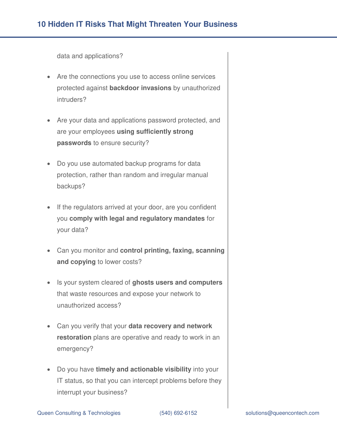#### **10 Hidden IT Risks That Might Threaten Your Business**

data and applications?

- Are the connections you use to access online services protected against **backdoor invasions** by unauthorized intruders?
- Are your data and applications password protected, and are your employees **using sufficiently strong passwords** to ensure security?
- Do you use automated backup programs for data protection, rather than random and irregular manual backups?
- If the regulators arrived at your door, are you confident you **comply with legal and regulatory mandates** for your data?
- Can you monitor and **control printing, faxing, scanning and copying** to lower costs?
- Is your system cleared of **ghosts users and computers**  that waste resources and expose your network to unauthorized access?
- Can you verify that your **data recovery and network restoration** plans are operative and ready to work in an emergency?
- Do you have **timely and actionable visibility** into your IT status, so that you can intercept problems before they interrupt your business?